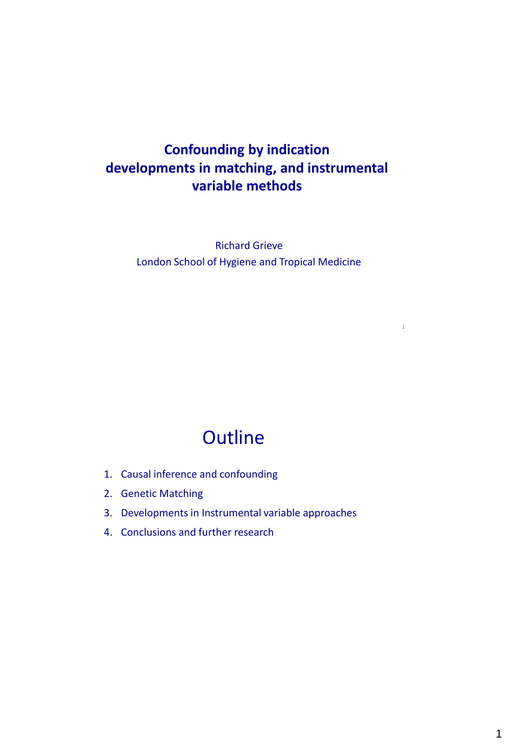### **Confounding by indication developments in matching, and instrumental variable methods**

Richard Grieve London School of Hygiene and Tropical Medicine

1

# **Outline**

- 1. Causal inference and confounding
- 2. Genetic Matching
- 3. Developments in Instrumental variable approaches
- 4. Conclusions and further research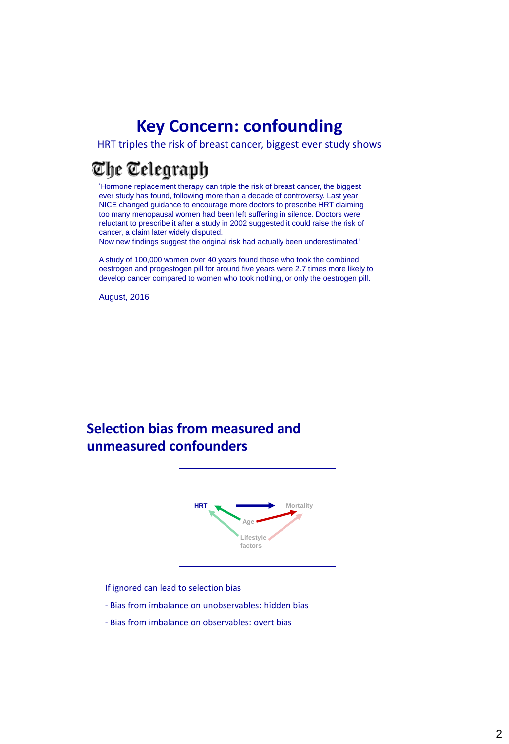## **Key Concern: confounding**

HRT triples the risk of breast cancer, biggest ever study shows

## The Telegraph

'Hormone replacement therapy can triple the risk of breast cancer, the biggest ever study has found, following more than a decade of controversy. Last year NICE changed guidance to encourage more doctors to prescribe HRT claiming too many menopausal women had been left suffering in silence. Doctors were reluctant to prescribe it after a study in 2002 suggested it could raise the risk of cancer, a claim later widely disputed.

Now new findings suggest the original risk had actually been underestimated.'

A study of 100,000 women over 40 years found those who took the combined oestrogen and progestogen pill for around five years were 2.7 times more likely to develop cancer compared to women who took nothing, or only the oestrogen pill.

August, 2016

### **Selection bias from measured and unmeasured confounders**



If ignored can lead to selection bias

- Bias from imbalance on unobservables: hidden bias
- Bias from imbalance on observables: overt bias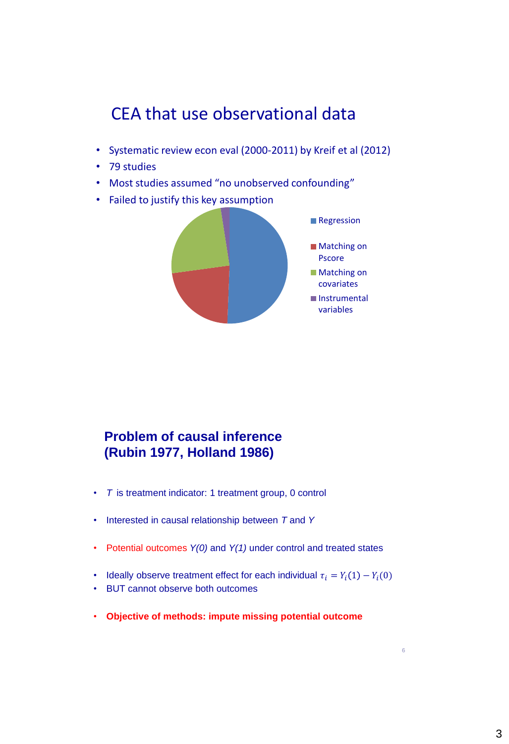# CEA that use observational data

- Systematic review econ eval (2000-2011) by Kreif et al (2012)
- 79 studies
- Most studies assumed "no unobserved confounding"
- Failed to justify this key assumption



### **Problem of causal inference (Rubin 1977, Holland 1986)**

- *T* is treatment indicator: 1 treatment group, 0 control
- Interested in causal relationship between *T* and *Y*
- Potential outcomes *Y(0)* and *Y(1)* under control and treated states
- Ideally observe treatment effect for each individual  $\tau_i = Y_i(1) Y_i(0)$
- BUT cannot observe both outcomes
- **Objective of methods: impute missing potential outcome**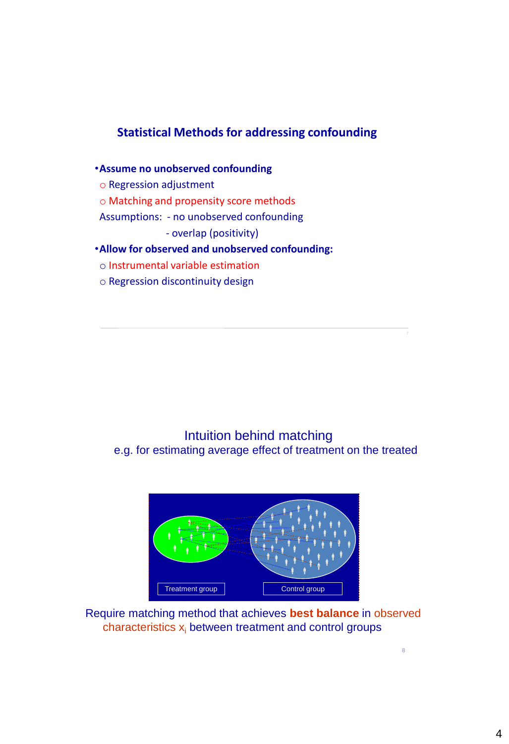### **Statistical Methods for addressing confounding**

### •**Assume no unobserved confounding** o Regression adjustment o Matching and propensity score methods Assumptions: - no unobserved confounding - overlap (positivity) •**Allow for observed and unobserved confounding:**

- o Instrumental variable estimation
- o Regression discontinuity design

Intuition behind matching e.g. for estimating average effect of treatment on the treated



Require matching method that achieves **best balance** in observed characteristics  $x_i$  between treatment and control groups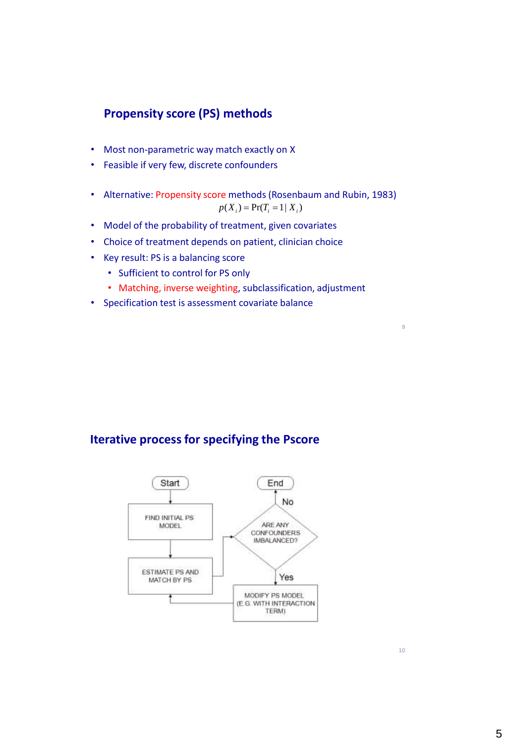#### **Propensity score (PS) methods**

- Most non-parametric way match exactly on X
- Feasible if very few, discrete confounders
- Alternative: Propensity score methods (Rosenbaum and Rubin, 1983)  $p(X_i) = Pr(T_i = 1 | X_i)$
- Model of the probability of treatment, given covariates
- Choice of treatment depends on patient, clinician choice
- Key result: PS is a balancing score
	- Sufficient to control for PS only
	- Matching, inverse weighting, subclassification, adjustment
- Specification test is assessment covariate balance

#### **Iterative process for specifying the Pscore**



10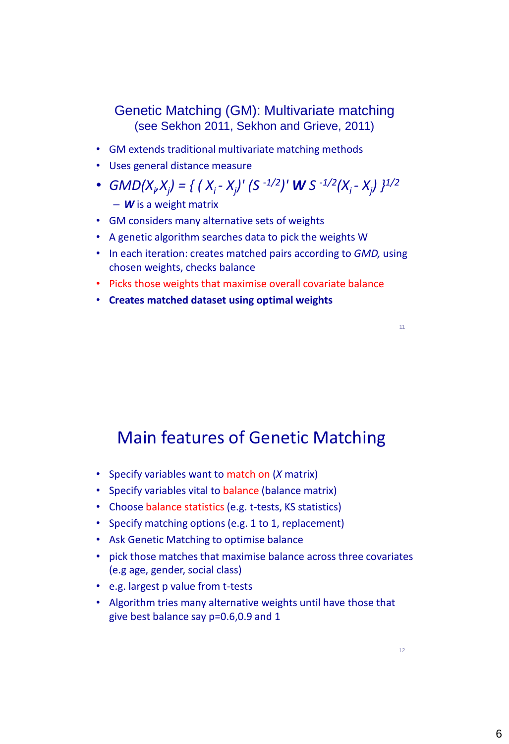### Genetic Matching (GM): Multivariate matching (see Sekhon 2011, Sekhon and Grieve, 2011)

- GM extends traditional multivariate matching methods
- Uses general distance measure
- GMD(X<sub>v</sub>X<sub>j</sub>) = { ( X<sub>i</sub> X<sub>j</sub>)' (S <sup>-1/2</sup>)' **W** S <sup>-1/2</sup>(X<sub>i</sub> X<sub>j</sub>) }<sup>1/2</sup>
	- *W* is a weight matrix
- GM considers many alternative sets of weights
- A genetic algorithm searches data to pick the weights W
- In each iteration: creates matched pairs according to *GMD,* using chosen weights, checks balance
- Picks those weights that maximise overall covariate balance
- **Creates matched dataset using optimal weights**

## Main features of Genetic Matching

- Specify variables want to match on (*X* matrix)
- Specify variables vital to balance (balance matrix)
- Choose balance statistics (e.g. t-tests, KS statistics)
- Specify matching options (e.g. 1 to 1, replacement)
- Ask Genetic Matching to optimise balance
- pick those matches that maximise balance across three covariates (e.g age, gender, social class)
- e.g. largest p value from t-tests
- Algorithm tries many alternative weights until have those that give best balance say p=0.6,0.9 and 1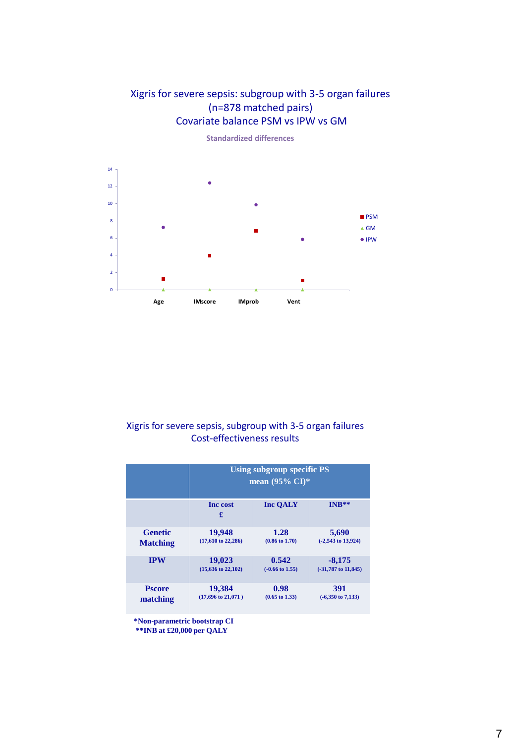#### Xigris for severe sepsis: subgroup with 3-5 organ failures (n=878 matched pairs) Covariate balance PSM vs IPW vs GM



**Standardized differences**

#### Xigris for severe sepsis, subgroup with 3-5 organ failures Cost-effectiveness results

|                 | <b>Using subgroup specific PS</b><br>mean $(95\% \text{ CI})^*$ |                            |                              |
|-----------------|-----------------------------------------------------------------|----------------------------|------------------------------|
|                 | <b>Inc</b> cost<br>£                                            | <b>Inc OALY</b>            | INR**                        |
| <b>Genetic</b>  | 19,948                                                          | 1.28                       | 5,690                        |
| <b>Matching</b> | $(17,610 \text{ to } 22,286)$                                   | $(0.86 \text{ to } 1.70)$  | $(-2,543$ to $13,924)$       |
| <b>IPW</b>      | 19,023                                                          | 0.542                      | $-8,175$                     |
|                 | $(15,636 \text{ to } 22,102)$                                   | $(-0.66 \text{ to } 1.55)$ | $(-31,787$ to $11,845)$      |
| <b>Pscore</b>   | 19,384                                                          | 0.98                       | 391                          |
| matching        | $(17,696 \text{ to } 21,071)$                                   | $(0.65 \text{ to } 1.33)$  | $(-6,350 \text{ to } 7,133)$ |

**\*Non-parametric bootstrap CI**

**\*\*INB at £20,000 per QALY**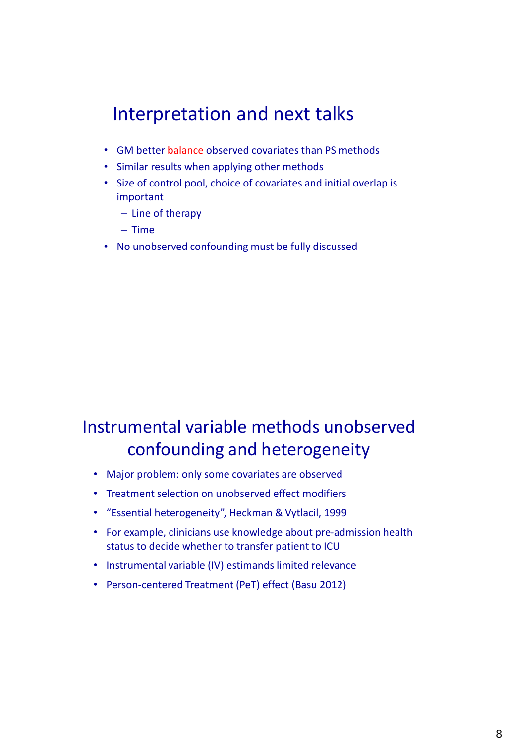# Interpretation and next talks

- GM better balance observed covariates than PS methods
- Similar results when applying other methods
- Size of control pool, choice of covariates and initial overlap is important
	- Line of therapy
	- Time
- No unobserved confounding must be fully discussed

# Instrumental variable methods unobserved confounding and heterogeneity

- Major problem: only some covariates are observed
- Treatment selection on unobserved effect modifiers
- "Essential heterogeneity", Heckman & Vytlacil, 1999
- For example, clinicians use knowledge about pre-admission health status to decide whether to transfer patient to ICU
- Instrumental variable (IV) estimands limited relevance
- Person-centered Treatment (PeT) effect (Basu 2012)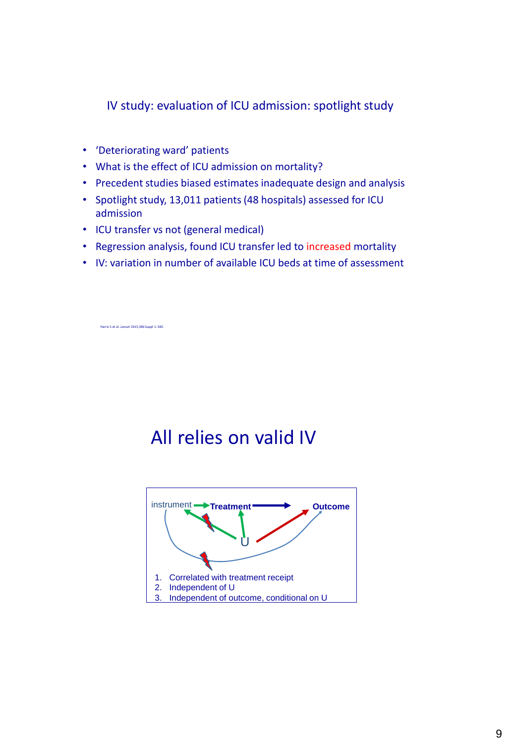IV study: evaluation of ICU admission: spotlight study

- 'Deteriorating ward' patients
- What is the effect of ICU admission on mortality?
- Precedent studies biased estimates inadequate design and analysis
- Spotlight study, 13,011 patients (48 hospitals) assessed for ICU admission
- ICU transfer vs not (general medical)
- Regression analysis, found ICU transfer led to increased mortality
- IV: variation in number of available ICU beds at time of assessment

Harris S et al. *Lancet* 2015;386 Suppl 1: S40.

# All relies on valid IV

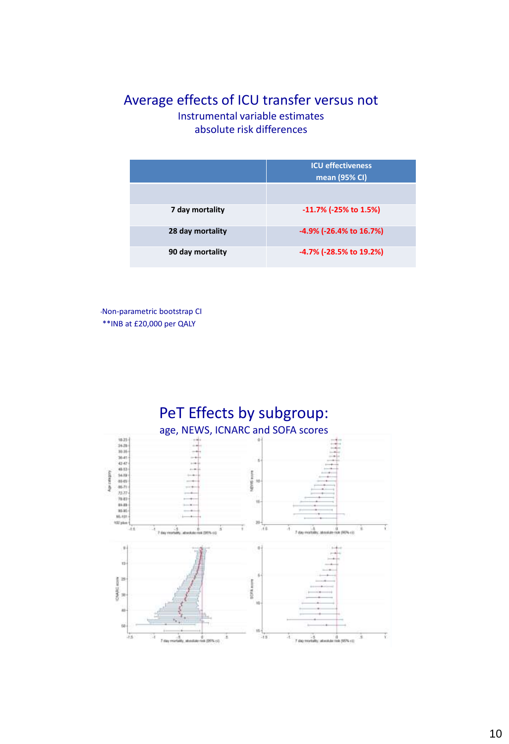### Average effects of ICU transfer versus not Instrumental variable estimates

absolute risk differences

|                  | <b>ICU effectiveness</b><br>mean (95% CI) |  |
|------------------|-------------------------------------------|--|
| 7 day mortality  | $-11.7\%$ (-25% to 1.5%)                  |  |
| 28 day mortality | -4.9% (-26.4% to 16.7%)                   |  |
| 90 day mortality | -4.7% (-28.5% to 19.2%)                   |  |

\*Non-parametric bootstrap CI \*\*INB at £20,000 per QALY